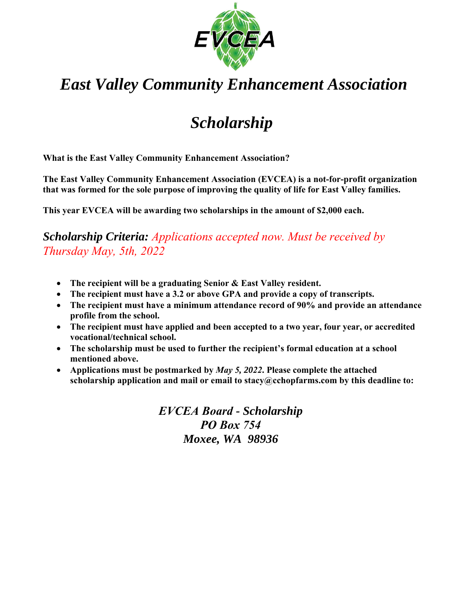

# *East Valley Community Enhancement Association*

## *Scholarship*

**What is the East Valley Community Enhancement Association?** 

**The East Valley Community Enhancement Association (EVCEA) is a not-for-profit organization that was formed for the sole purpose of improving the quality of life for East Valley families.** 

**This year EVCEA will be awarding two scholarships in the amount of \$2,000 each.** 

*Scholarship Criteria: Applications accepted now. Must be received by Thursday May, 5th, 2022*

- **The recipient will be a graduating Senior & East Valley resident.**
- **The recipient must have a 3.2 or above GPA and provide a copy of transcripts.**
- **The recipient must have a minimum attendance record of 90% and provide an attendance profile from the school.**
- **The recipient must have applied and been accepted to a two year, four year, or accredited vocational/technical school.**
- **The scholarship must be used to further the recipient's formal education at a school mentioned above.**
- **Applications must be postmarked by** *May 5, 2022***. Please complete the attached scholarship application and mail or email to stacy@cchopfarms.com by this deadline to:**

*EVCEA Board - Scholarship PO Box 754 Moxee, WA 98936*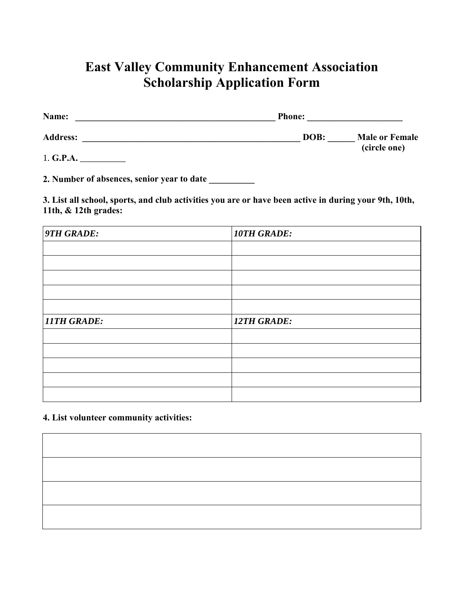### **East Valley Community Enhancement Association Scholarship Application Form**

| Name:           | <b>Phone:</b> |                       |  |  |
|-----------------|---------------|-----------------------|--|--|
| <b>Address:</b> | DOB:          | <b>Male or Female</b> |  |  |
| 1. G.P.A.       |               | (circle one)          |  |  |

**2. Number of absences, senior year to date \_\_\_\_\_\_\_\_\_\_**

**3. List all school, sports, and club activities you are or have been active in during your 9th, 10th, 11th, & 12th grades:**

| <b>9TH GRADE:</b>  | <b>10TH GRADE:</b> |
|--------------------|--------------------|
|                    |                    |
|                    |                    |
|                    |                    |
|                    |                    |
|                    |                    |
| <b>11TH GRADE:</b> | <b>12TH GRADE:</b> |
|                    |                    |
|                    |                    |
|                    |                    |
|                    |                    |
|                    |                    |

**4. List volunteer community activities:**

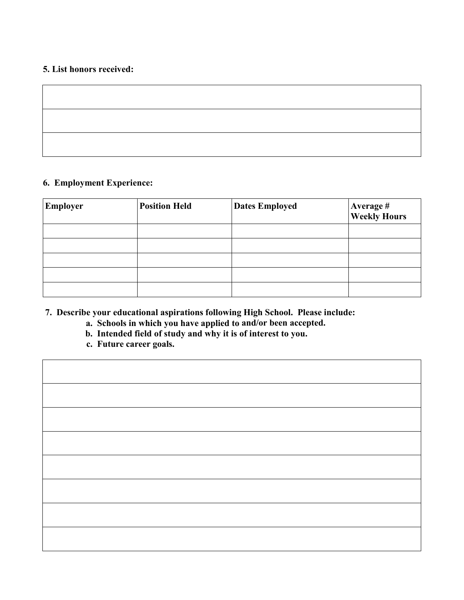#### **5. List honors received:**

#### **6. Employment Experience:**

| <b>Employer</b> | <b>Position Held</b> | <b>Dates Employed</b> | <b>Average #</b><br>Weekly Hours |
|-----------------|----------------------|-----------------------|----------------------------------|
|                 |                      |                       |                                  |
|                 |                      |                       |                                  |
|                 |                      |                       |                                  |
|                 |                      |                       |                                  |
|                 |                      |                       |                                  |

#### **7. Describe your educational aspirations following High School. Please include:**

- **a. Schools in which you have applied to and/or been accepted.**
- **b. Intended field of study and why it is of interest to you.**
- **c. Future career goals.**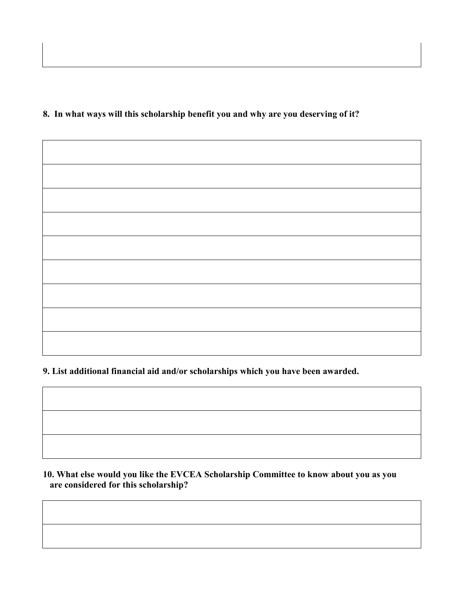**8. In what ways will this scholarship benefit you and why are you deserving of it?**

**9. List additional financial aid and/or scholarships which you have been awarded.**



**10. What else would you like the EVCEA Scholarship Committee to know about you as you are considered for this scholarship?**